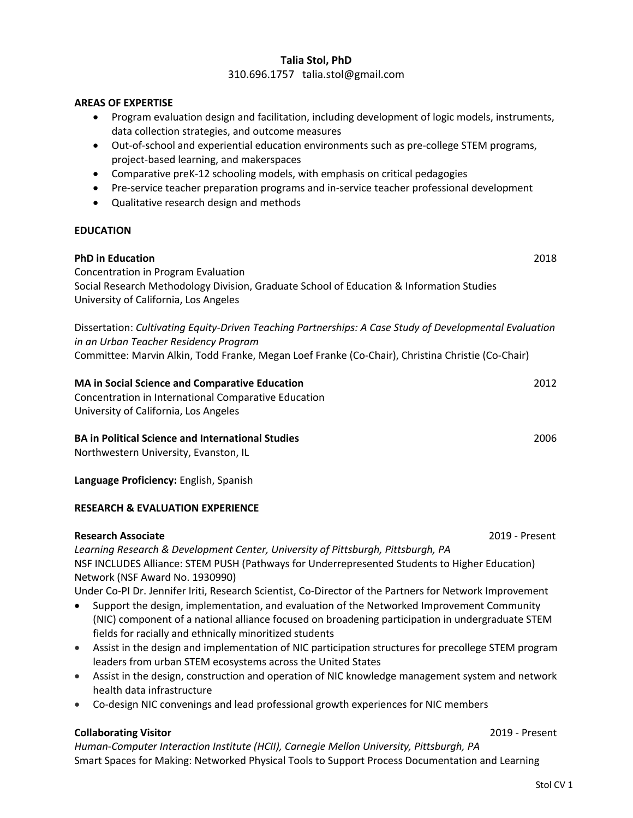## **Talia Stol, PhD** 310.696.1757 talia.stol@gmail.com

#### **AREAS OF EXPERTISE**

- Program evaluation design and facilitation, including development of logic models, instruments, data collection strategies, and outcome measures
- Out-of-school and experiential education environments such as pre-college STEM programs, project-based learning, and makerspaces
- Comparative preK-12 schooling models, with emphasis on critical pedagogies
- Pre-service teacher preparation programs and in-service teacher professional development
- Qualitative research design and methods

#### **EDUCATION**

| <b>PhD in Education</b><br>Concentration in Program Evaluation                                                                                   | 2018 |
|--------------------------------------------------------------------------------------------------------------------------------------------------|------|
| Social Research Methodology Division, Graduate School of Education & Information Studies<br>University of California, Los Angeles                |      |
| Dissertation: Cultivating Equity-Driven Teaching Partnerships: A Case Study of Developmental Evaluation<br>in an Urban Teacher Residency Program |      |
| Committee: Marvin Alkin, Todd Franke, Megan Loef Franke (Co-Chair), Christina Christie (Co-Chair)                                                |      |
| <b>MA in Social Science and Comparative Education</b><br>Concentration in International Comparative Education                                    | 2012 |
| University of California, Los Angeles                                                                                                            |      |
| <b>BA in Political Science and International Studies</b><br>Northwestern University, Evanston, IL                                                | 2006 |

**Language Proficiency:** English, Spanish

### **RESEARCH & EVALUATION EXPERIENCE**

#### **Research Associate** 2019 - Present

*Learning Research & Development Center, University of Pittsburgh, Pittsburgh, PA* NSF INCLUDES Alliance: STEM PUSH (Pathways for Underrepresented Students to Higher Education) Network (NSF Award No. 1930990)

Under Co-PI Dr. Jennifer Iriti, Research Scientist, Co-Director of the Partners for Network Improvement

- Support the design, implementation, and evaluation of the Networked Improvement Community (NIC) component of a national alliance focused on broadening participation in undergraduate STEM fields for racially and ethnically minoritized students
- Assist in the design and implementation of NIC participation structures for precollege STEM program leaders from urban STEM ecosystems across the United States
- Assist in the design, construction and operation of NIC knowledge management system and network health data infrastructure
- Co-design NIC convenings and lead professional growth experiences for NIC members

### **Collaborating Visitor** 2019 - Present

*Human-Computer Interaction Institute (HCII), Carnegie Mellon University, Pittsburgh, PA*  Smart Spaces for Making: Networked Physical Tools to Support Process Documentation and Learning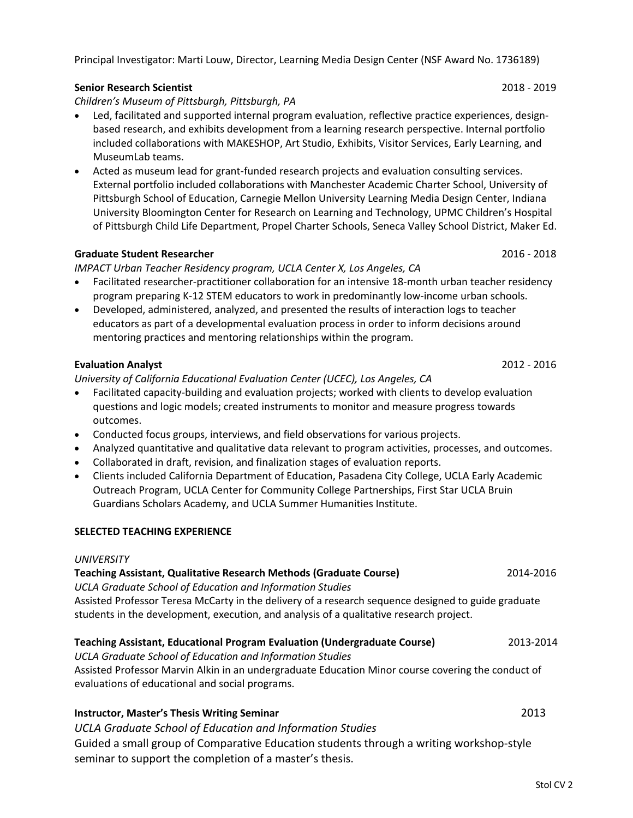## Principal Investigator: Marti Louw, Director, Learning Media Design Center (NSF Award No. 1736189)

## **Senior Research Scientist** 2018 - 2019

*Children's Museum of Pittsburgh, Pittsburgh, PA*

- Led, facilitated and supported internal program evaluation, reflective practice experiences, designbased research, and exhibits development from a learning research perspective. Internal portfolio included collaborations with MAKESHOP, Art Studio, Exhibits, Visitor Services, Early Learning, and MuseumLab teams.
- Acted as museum lead for grant-funded research projects and evaluation consulting services. External portfolio included collaborations with Manchester Academic Charter School, University of Pittsburgh School of Education, Carnegie Mellon University Learning Media Design Center, Indiana University Bloomington Center for Research on Learning and Technology, UPMC Children's Hospital of Pittsburgh Child Life Department, Propel Charter Schools, Seneca Valley School District, Maker Ed.

## **Graduate Student Researcher** 2016 - 2018

*IMPACT Urban Teacher Residency program, UCLA Center X, Los Angeles, CA*

- Facilitated researcher-practitioner collaboration for an intensive 18-month urban teacher residency program preparing K-12 STEM educators to work in predominantly low-income urban schools.
- Developed, administered, analyzed, and presented the results of interaction logs to teacher educators as part of a developmental evaluation process in order to inform decisions around mentoring practices and mentoring relationships within the program.

## **Evaluation Analyst** 2012 - 2016

*University of California Educational Evaluation Center (UCEC), Los Angeles, CA*

- Facilitated capacity-building and evaluation projects; worked with clients to develop evaluation questions and logic models; created instruments to monitor and measure progress towards outcomes.
- Conducted focus groups, interviews, and field observations for various projects.
- Analyzed quantitative and qualitative data relevant to program activities, processes, and outcomes.
- Collaborated in draft, revision, and finalization stages of evaluation reports.
- Clients included California Department of Education, Pasadena City College, UCLA Early Academic Outreach Program, UCLA Center for Community College Partnerships, First Star UCLA Bruin Guardians Scholars Academy, and UCLA Summer Humanities Institute.

## **SELECTED TEACHING EXPERIENCE**

### *UNIVERSITY*

## **Teaching Assistant, Qualitative Research Methods (Graduate Course)** 2014-2016

*UCLA Graduate School of Education and Information Studies* Assisted Professor Teresa McCarty in the delivery of a research sequence designed to guide graduate students in the development, execution, and analysis of a qualitative research project.

### **Teaching Assistant, Educational Program Evaluation (Undergraduate Course)** 2013-2014

*UCLA Graduate School of Education and Information Studies* Assisted Professor Marvin Alkin in an undergraduate Education Minor course covering the conduct of evaluations of educational and social programs.

# **Instructor, Master's Thesis Writing Seminar** 2013

*UCLA Graduate School of Education and Information Studies*

Guided a small group of Comparative Education students through a writing workshop-style seminar to support the completion of a master's thesis.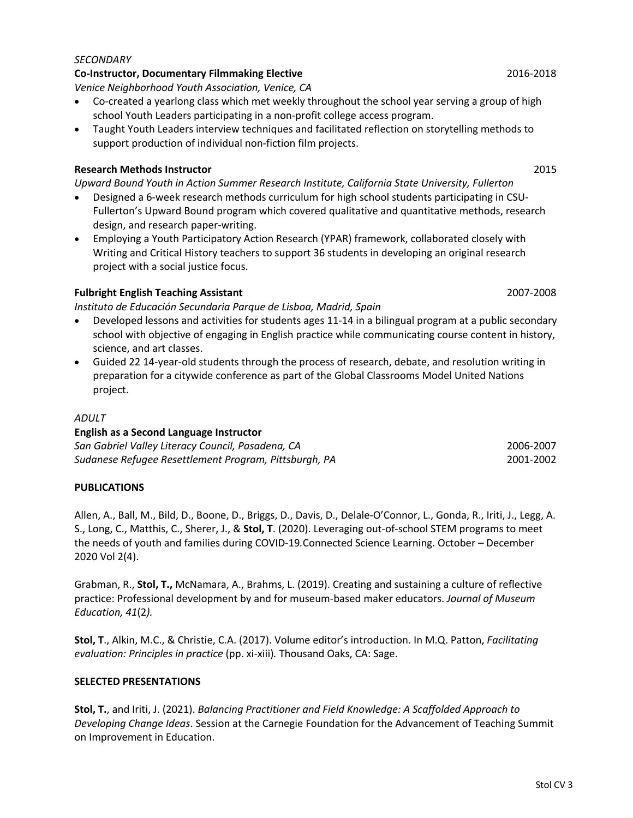#### *SECONDARY*

#### **Co-Instructor, Documentary Filmmaking Elective** 2016-2018

*Venice Neighborhood Youth Association, Venice, CA*

- Co-created a yearlong class which met weekly throughout the school year serving a group of high school Youth Leaders participating in a non-profit college access program.
- Taught Youth Leaders interview techniques and facilitated reflection on storytelling methods to support production of individual non-fiction film projects.

#### **Research Methods Instructor** 2015

*Upward Bound Youth in Action Summer Research Institute, California State University, Fullerton*

- Designed a 6-week research methods curriculum for high school students participating in CSU-Fullerton's Upward Bound program which covered qualitative and quantitative methods, research design, and research paper-writing.
- Employing a Youth Participatory Action Research (YPAR) framework, collaborated closely with Writing and Critical History teachers to support 36 students in developing an original research project with a social justice focus.

### **Fulbright English Teaching Assistant** 2007-2008

*Instituto de Educación Secundaria Parque de Lisboa, Madrid, Spain*

- Developed lessons and activities for students ages 11-14 in a bilingual program at a public secondary school with objective of engaging in English practice while communicating course content in history, science, and art classes.
- Guided 22 14-year-old students through the process of research, debate, and resolution writing in preparation for a citywide conference as part of the Global Classrooms Model United Nations project.

#### *ADULT*

## **English as a Second Language Instructor** *San Gabriel Valley Literacy Council, Pasadena, CA* 2006-2007 *Sudanese Refugee Resettlement Program, Pittsburgh, PA* 2001-2002

### **PUBLICATIONS**

Allen, A., Ball, M., Bild, D., Boone, D., Briggs, D., Davis, D., Delale-O'Connor, L., Gonda, R., Iriti, J., Legg, A. S., Long, C., Matthis, C., Sherer, J., & **Stol, T**. (2020). Leveraging out-of-school STEM programs to meet the needs of youth and families during COVID-19*.*Connected Science Learning. October – December 2020 Vol 2(4).

Grabman, R., **Stol, T.,** McNamara, A., Brahms, L. (2019). Creating and sustaining a culture of reflective practice: Professional development by and for museum-based maker educators. *Journal of Museum Education, 41*(2*).*

**Stol, T**., Alkin, M.C., & Christie, C.A. (2017). Volume editor's introduction. In M.Q. Patton, *Facilitating evaluation: Principles in practice* (pp. xi-xiii)*.* Thousand Oaks, CA: Sage.

#### **SELECTED PRESENTATIONS**

**Stol, T.**, and Iriti, J. (2021). *Balancing Practitioner and Field Knowledge: A Scaffolded Approach to Developing Change Ideas*. Session at the Carnegie Foundation for the Advancement of Teaching Summit on Improvement in Education.